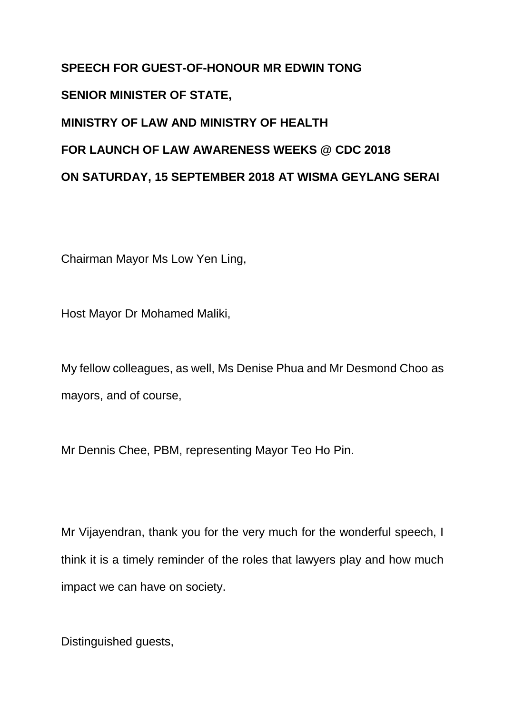## **SPEECH FOR GUEST-OF-HONOUR MR EDWIN TONG SENIOR MINISTER OF STATE, MINISTRY OF LAW AND MINISTRY OF HEALTH FOR LAUNCH OF LAW AWARENESS WEEKS @ CDC 2018 ON SATURDAY, 15 SEPTEMBER 2018 AT WISMA GEYLANG SERAI**

Chairman Mayor Ms Low Yen Ling,

Host Mayor Dr Mohamed Maliki,

My fellow colleagues, as well, Ms Denise Phua and Mr Desmond Choo as mayors, and of course,

Mr Dennis Chee, PBM, representing Mayor Teo Ho Pin.

Mr Vijayendran, thank you for the very much for the wonderful speech, I think it is a timely reminder of the roles that lawyers play and how much impact we can have on society.

Distinguished guests,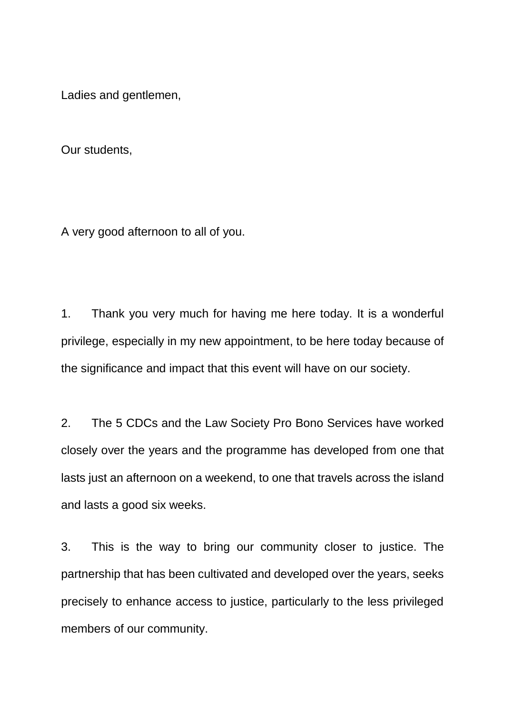Ladies and gentlemen,

Our students,

A very good afternoon to all of you.

1. Thank you very much for having me here today. It is a wonderful privilege, especially in my new appointment, to be here today because of the significance and impact that this event will have on our society.

2. The 5 CDCs and the Law Society Pro Bono Services have worked closely over the years and the programme has developed from one that lasts just an afternoon on a weekend, to one that travels across the island and lasts a good six weeks.

3. This is the way to bring our community closer to justice. The partnership that has been cultivated and developed over the years, seeks precisely to enhance access to justice, particularly to the less privileged members of our community.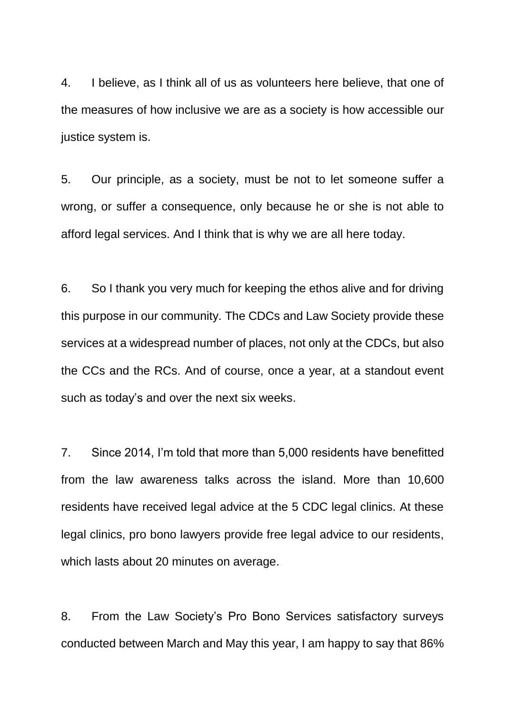4. I believe, as I think all of us as volunteers here believe, that one of the measures of how inclusive we are as a society is how accessible our justice system is.

5. Our principle, as a society, must be not to let someone suffer a wrong, or suffer a consequence, only because he or she is not able to afford legal services. And I think that is why we are all here today.

6. So I thank you very much for keeping the ethos alive and for driving this purpose in our community. The CDCs and Law Society provide these services at a widespread number of places, not only at the CDCs, but also the CCs and the RCs. And of course, once a year, at a standout event such as today's and over the next six weeks.

7. Since 2014, I'm told that more than 5,000 residents have benefitted from the law awareness talks across the island. More than 10,600 residents have received legal advice at the 5 CDC legal clinics. At these legal clinics, pro bono lawyers provide free legal advice to our residents, which lasts about 20 minutes on average.

8. From the Law Society's Pro Bono Services satisfactory surveys conducted between March and May this year, I am happy to say that 86%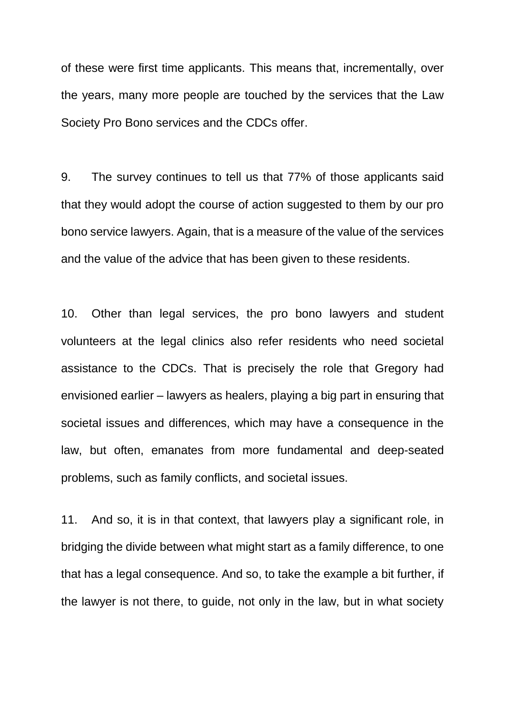of these were first time applicants. This means that, incrementally, over the years, many more people are touched by the services that the Law Society Pro Bono services and the CDCs offer.

9. The survey continues to tell us that 77% of those applicants said that they would adopt the course of action suggested to them by our pro bono service lawyers. Again, that is a measure of the value of the services and the value of the advice that has been given to these residents.

10. Other than legal services, the pro bono lawyers and student volunteers at the legal clinics also refer residents who need societal assistance to the CDCs. That is precisely the role that Gregory had envisioned earlier – lawyers as healers, playing a big part in ensuring that societal issues and differences, which may have a consequence in the law, but often, emanates from more fundamental and deep-seated problems, such as family conflicts, and societal issues.

11. And so, it is in that context, that lawyers play a significant role, in bridging the divide between what might start as a family difference, to one that has a legal consequence. And so, to take the example a bit further, if the lawyer is not there, to guide, not only in the law, but in what society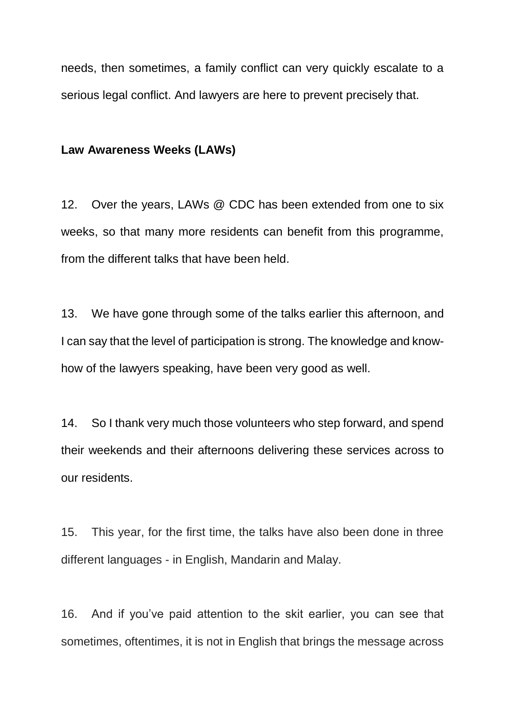needs, then sometimes, a family conflict can very quickly escalate to a serious legal conflict. And lawyers are here to prevent precisely that.

## **Law Awareness Weeks (LAWs)**

12. Over the years, LAWs @ CDC has been extended from one to six weeks, so that many more residents can benefit from this programme, from the different talks that have been held.

13. We have gone through some of the talks earlier this afternoon, and I can say that the level of participation is strong. The knowledge and knowhow of the lawyers speaking, have been very good as well.

14. So I thank very much those volunteers who step forward, and spend their weekends and their afternoons delivering these services across to our residents.

15. This year, for the first time, the talks have also been done in three different languages - in English, Mandarin and Malay.

16. And if you've paid attention to the skit earlier, you can see that sometimes, oftentimes, it is not in English that brings the message across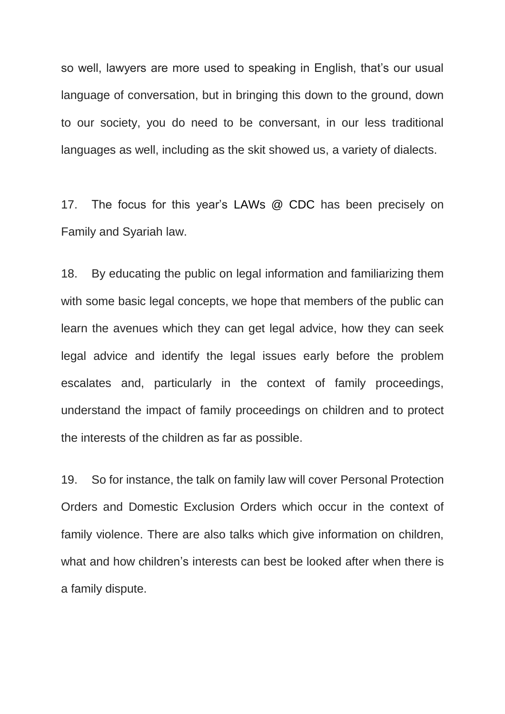so well, lawyers are more used to speaking in English, that's our usual language of conversation, but in bringing this down to the ground, down to our society, you do need to be conversant, in our less traditional languages as well, including as the skit showed us, a variety of dialects.

17. The focus for this year's LAWs @ CDC has been precisely on Family and Syariah law.

18. By educating the public on legal information and familiarizing them with some basic legal concepts, we hope that members of the public can learn the avenues which they can get legal advice, how they can seek legal advice and identify the legal issues early before the problem escalates and, particularly in the context of family proceedings, understand the impact of family proceedings on children and to protect the interests of the children as far as possible.

19. So for instance, the talk on family law will cover Personal Protection Orders and Domestic Exclusion Orders which occur in the context of family violence. There are also talks which give information on children, what and how children's interests can best be looked after when there is a family dispute.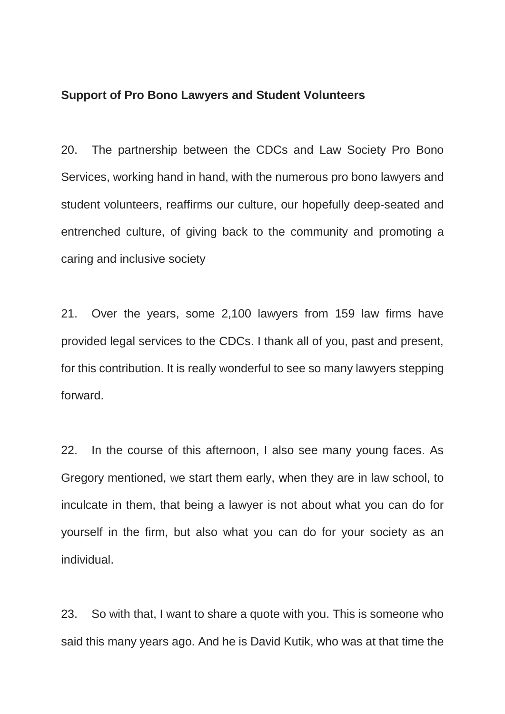## **Support of Pro Bono Lawyers and Student Volunteers**

20. The partnership between the CDCs and Law Society Pro Bono Services, working hand in hand, with the numerous pro bono lawyers and student volunteers, reaffirms our culture, our hopefully deep-seated and entrenched culture, of giving back to the community and promoting a caring and inclusive society

21. Over the years, some 2,100 lawyers from 159 law firms have provided legal services to the CDCs. I thank all of you, past and present, for this contribution. It is really wonderful to see so many lawyers stepping forward.

22. In the course of this afternoon, I also see many young faces. As Gregory mentioned, we start them early, when they are in law school, to inculcate in them, that being a lawyer is not about what you can do for yourself in the firm, but also what you can do for your society as an individual.

23. So with that, I want to share a quote with you. This is someone who said this many years ago. And he is David Kutik, who was at that time the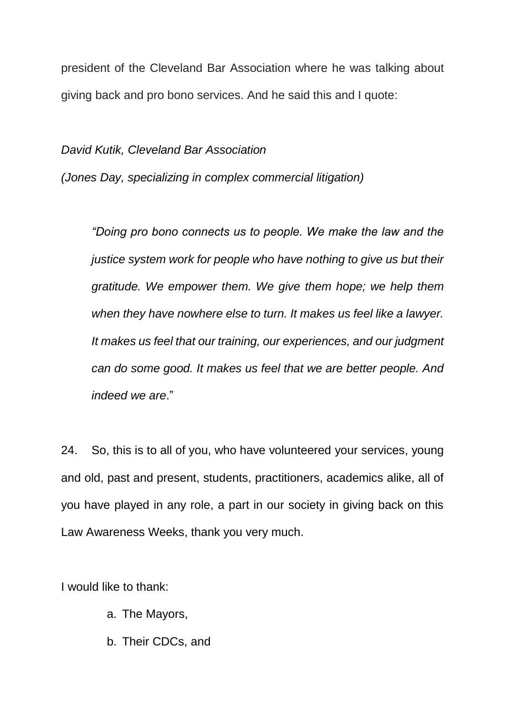president of the Cleveland Bar Association where he was talking about giving back and pro bono services. And he said this and I quote:

*David Kutik, Cleveland Bar Association*

*(Jones Day, specializing in complex commercial litigation)*

*"Doing pro bono connects us to people. We make the law and the justice system work for people who have nothing to give us but their gratitude. We empower them. We give them hope; we help them when they have nowhere else to turn. It makes us feel like a lawyer. It makes us feel that our training, our experiences, and our judgment can do some good. It makes us feel that we are better people. And indeed we are*."

24. So, this is to all of you, who have volunteered your services, young and old, past and present, students, practitioners, academics alike, all of you have played in any role, a part in our society in giving back on this Law Awareness Weeks, thank you very much.

I would like to thank:

- a. The Mayors,
- b. Their CDCs, and